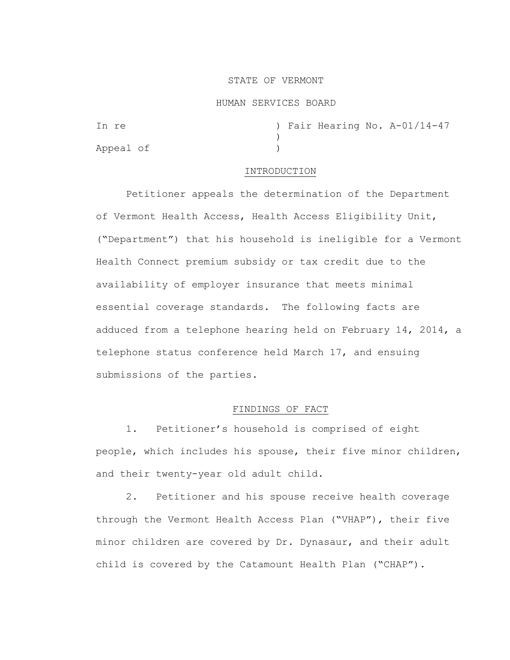## STATE OF VERMONT

#### HUMAN SERVICES BOARD

In re  $\sqrt{2}$  ) Fair Hearing No. A-01/14-47 ) Appeal of )

## INTRODUCTION

Petitioner appeals the determination of the Department of Vermont Health Access, Health Access Eligibility Unit, ("Department") that his household is ineligible for a Vermont Health Connect premium subsidy or tax credit due to the availability of employer insurance that meets minimal essential coverage standards. The following facts are adduced from a telephone hearing held on February 14, 2014, a telephone status conference held March 17, and ensuing submissions of the parties.

# FINDINGS OF FACT

1. Petitioner's household is comprised of eight people, which includes his spouse, their five minor children, and their twenty-year old adult child.

2. Petitioner and his spouse receive health coverage through the Vermont Health Access Plan ("VHAP"), their five minor children are covered by Dr. Dynasaur, and their adult child is covered by the Catamount Health Plan ("CHAP").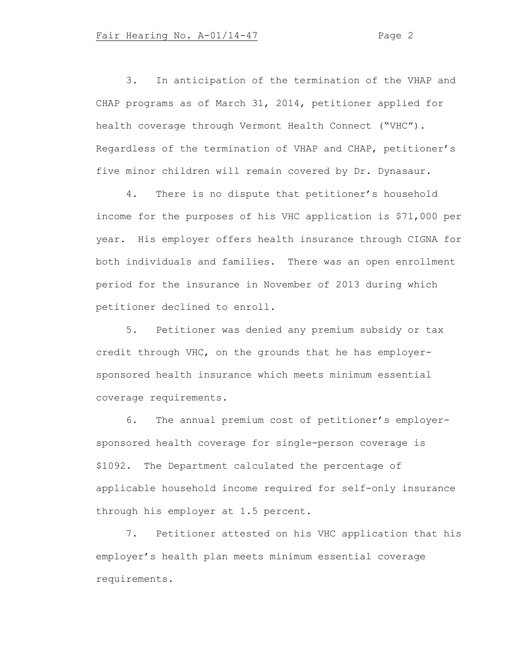3. In anticipation of the termination of the VHAP and CHAP programs as of March 31, 2014, petitioner applied for health coverage through Vermont Health Connect ("VHC"). Regardless of the termination of VHAP and CHAP, petitioner's five minor children will remain covered by Dr. Dynasaur.

4. There is no dispute that petitioner's household income for the purposes of his VHC application is \$71,000 per year. His employer offers health insurance through CIGNA for both individuals and families. There was an open enrollment period for the insurance in November of 2013 during which petitioner declined to enroll.

5. Petitioner was denied any premium subsidy or tax credit through VHC, on the grounds that he has employersponsored health insurance which meets minimum essential coverage requirements.

6. The annual premium cost of petitioner's employersponsored health coverage for single-person coverage is \$1092. The Department calculated the percentage of applicable household income required for self-only insurance through his employer at 1.5 percent.

7. Petitioner attested on his VHC application that his employer's health plan meets minimum essential coverage requirements.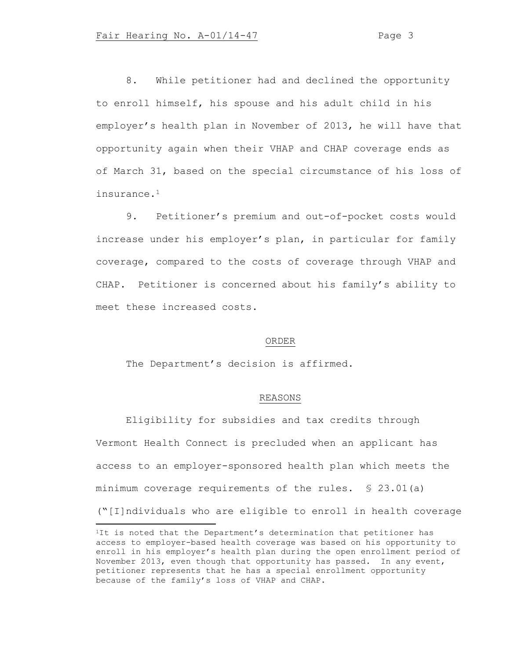8. While petitioner had and declined the opportunity to enroll himself, his spouse and his adult child in his employer's health plan in November of 2013, he will have that opportunity again when their VHAP and CHAP coverage ends as of March 31, based on the special circumstance of his loss of insurance.<sup>1</sup>

9. Petitioner's premium and out-of-pocket costs would increase under his employer's plan, in particular for family coverage, compared to the costs of coverage through VHAP and CHAP. Petitioner is concerned about his family's ability to meet these increased costs.

#### ORDER

The Department's decision is affirmed.

# REASONS

Eligibility for subsidies and tax credits through Vermont Health Connect is precluded when an applicant has access to an employer-sponsored health plan which meets the minimum coverage requirements of the rules. § 23.01(a) ("[I]ndividuals who are eligible to enroll in health coverage

<sup>&</sup>lt;sup>1</sup>It is noted that the Department's determination that petitioner has access to employer-based health coverage was based on his opportunity to enroll in his employer's health plan during the open enrollment period of November 2013, even though that opportunity has passed. In any event, petitioner represents that he has a special enrollment opportunity because of the family's loss of VHAP and CHAP.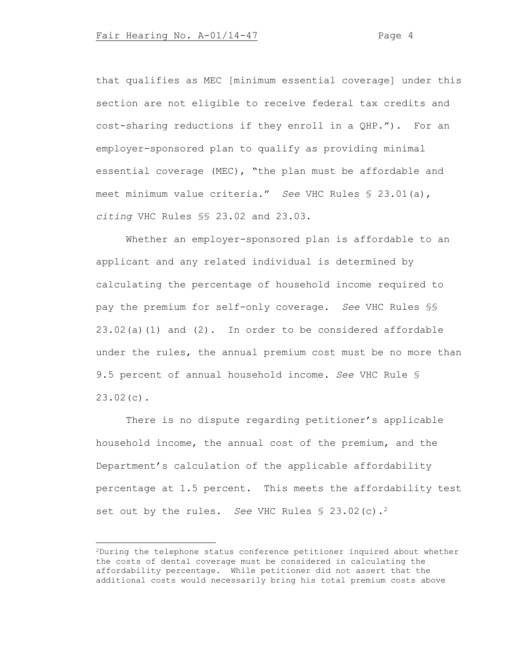that qualifies as MEC [minimum essential coverage] under this section are not eligible to receive federal tax credits and cost-sharing reductions if they enroll in a QHP."). For an employer-sponsored plan to qualify as providing minimal essential coverage (MEC), "the plan must be affordable and meet minimum value criteria." *See* VHC Rules § 23.01(a), *citing* VHC Rules §§ 23.02 and 23.03.

Whether an employer-sponsored plan is affordable to an applicant and any related individual is determined by calculating the percentage of household income required to pay the premium for self-only coverage. *See* VHC Rules §§ 23.02(a)(1) and (2). In order to be considered affordable under the rules, the annual premium cost must be no more than 9.5 percent of annual household income. *See* VHC Rule § 23.02(c).

There is no dispute regarding petitioner's applicable household income, the annual cost of the premium, and the Department's calculation of the applicable affordability percentage at 1.5 percent. This meets the affordability test set out by the rules. *See* VHC Rules § 23.02(c).<sup>2</sup>

<sup>2</sup>During the telephone status conference petitioner inquired about whether the costs of dental coverage must be considered in calculating the affordability percentage. While petitioner did not assert that the additional costs would necessarily bring his total premium costs above